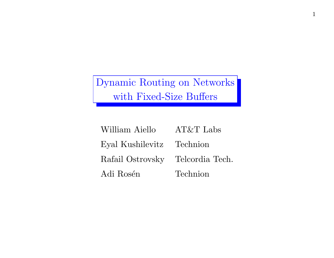Dynamic Routing on Networks with Fixed-Size Buffers

| William Aiello                   | $AT&T$ Labs |
|----------------------------------|-------------|
| Eyal Kushilevitz Technion        |             |
| Rafail Ostrovsky Telcordia Tech. |             |
| Adi Rosén                        | Technion    |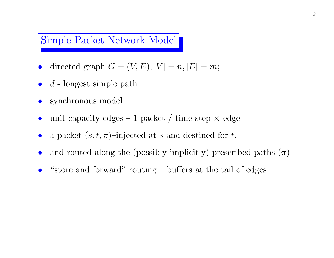### Simple Packet Network Model

- directed graph  $G = (V, E), |V| = n, |E| = m;$
- $d$  longest simple path
- synchronous model
- unit capacity edges 1 packet / time step  $\times$  edge
- a packet  $(s, t, \pi)$ –injected at s and destined for t,
- and routed along the (possibly implicitly) prescribed paths  $(\pi)$
- "store and forward" routing buffers at the tail of edges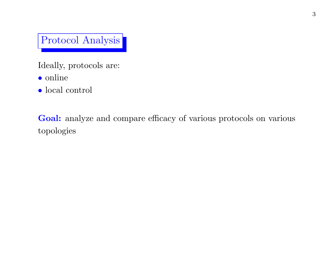Protocol Analysis

Ideally, protocols are:

- online
- $\bullet$  local control

Goal: analyze and compare efficacy of various protocols on various topologies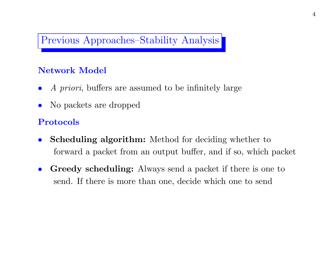## Previous Approaches–Stability Analysis

#### Network Model

- A priori, buffers are assumed to be infinitely large
- No packets are dropped

#### Protocols

- Scheduling algorithm: Method for deciding whether to forward a packet from an output buffer, and if so, which packet
- Greedy scheduling: Always send a packet if there is one to send. If there is more than one, decide which one to send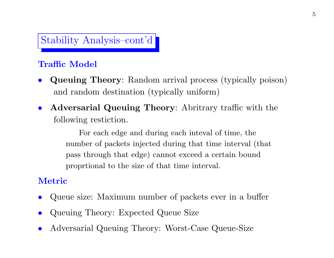# Stability Analysis–cont'd

### Traffic Model

- Queuing Theory: Random arrival process (typically poison) and random destination (typically uniform)
- Adversarial Queuing Theory: Abritrary traffic with the following restiction.

For each edge and during each inteval of time, the number of packets injected during that time interval (that pass through that edge) cannot exceed a certain bound proprtional to the size of that time interval.

### Metric

- Queue size: Maximum number of packets ever in a buffer
- Queuing Theory: Expected Queue Size
- Adversarial Queuing Theory: Worst-Case Queue-Size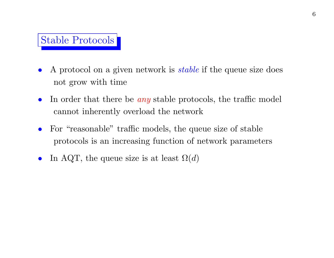## Stable Protocols

- A protocol on a given network is *stable* if the queue size does not grow with time
- In order that there be  $any$  stable protocols, the traffic model cannot inherently overload the network
- For "reasonable" traffic models, the queue size of stable protocols is an increasing function of network parameters
- In AQT, the queue size is at least  $\Omega(d)$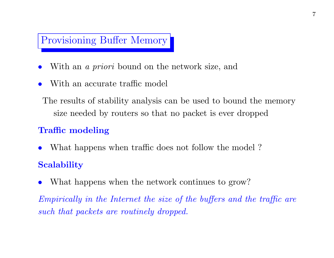## Provisioning Buffer Memory

- With an *a priori* bound on the network size, and
- With an accurate traffic model

The results of stability analysis can be used to bound the memory size needed by routers so that no packet is ever dropped

### Traffic modeling

- What happens when traffic does not follow the model? **Scalability**
- What happens when the network continues to grow?

Empirically in the Internet the size of the buffers and the traffic are such that packets are routinely dropped.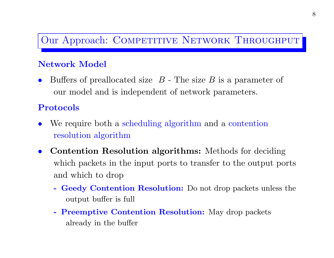## Our Approach: COMPETITIVE NETWORK THROUGHPUT

#### Network Model

Buffers of preallocated size  $B$  - The size  $B$  is a parameter of our model and is independent of network parameters.

#### Protocols

- We require both a scheduling algorithm and a contention resolution algorithm
- Contention Resolution algorithms: Methods for deciding which packets in the input ports to transfer to the output ports and which to drop
	- Geedy Contention Resolution: Do not drop packets unless the output buffer is full
	- Preemptive Contention Resolution: May drop packets already in the buffer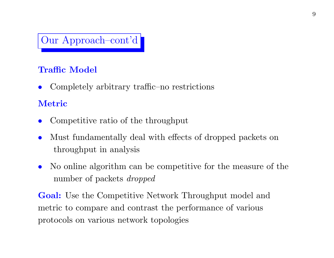# Our Approach–cont'd

## Traffic Model

• Completely arbitrary traffic–no restrictions

### Metric

- Competitive ratio of the throughput
- Must fundamentally deal with effects of dropped packets on throughput in analysis
- No online algorithm can be competitive for the measure of the number of packets dropped

Goal: Use the Competitive Network Throughput model and metric to compare and contrast the performance of various protocols on various network topologies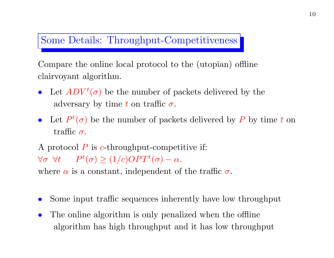## Some Details: Throughput-Competitiveness

Compare the online local protocol to the (utopian) offline clairvoyant algorithm.

- Let  $ADV^t(\sigma)$  be the number of packets delivered by the adversary by time t on traffic  $\sigma$ .
- Let  $P^t(\sigma)$  be the number of packets delivered by P by time t on traffic  $\sigma$ .

A protocol  $P$  is c-throughput-competitive if:  $\forall \sigma \forall t \qquad P^t(\sigma) \geq (1/c) OPT^t(\sigma) - \alpha.$ 

where  $\alpha$  is a constant, independent of the traffic  $\sigma$ .

- Some input traffic sequences inherently have low throughput
- The online algorithm is only penalized when the offline algorithm has high throughput and it has low throughput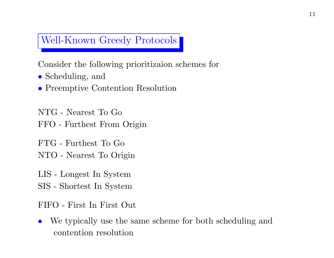## Well-Known Greedy Protocols

Consider the following prioritizaion schemes for

- Scheduling, and
- Preemptive Contention Resolution

NTG - Nearest To Go FFO - Furthest From Origin

FTG - Furthest To Go

NTO - Nearest To Origin

LIS - Longest In System

SIS - Shortest In System

FIFO - First In First Out

• We typically use the same scheme for both scheduling and contention resolution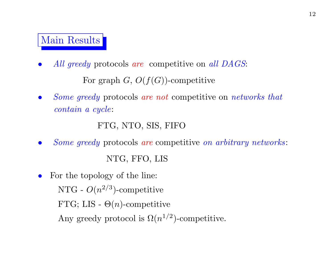## Main Results

- All greedy protocols are competitive on all DAGS: For graph  $G, O(f(G))$ -competitive
- Some greedy protocols are not competitive on networks that contain a cycle:

```
FTG, NTO, SIS, FIFO
```
• Some greedy protocols are competitive on arbitrary networks:

```
NTG, FFO, LIS
```
• For the topology of the line: NTG -  $O(n^{2/3})$ -competitive FTG; LIS -  $\Theta(n)$ -competitive Any greedy protocol is  $\Omega(n^{1/2})$ -competitive.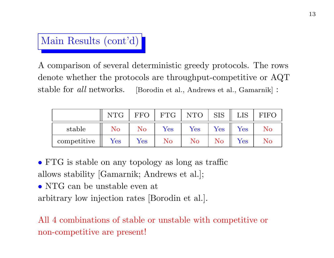

A comparison of several deterministic greedy protocols. The rows denote whether the protocols are throughput-competitive or AQT stable for all networks. [Borodin et al., Andrews et al., Gamarnik] :

|             | <b>NTG</b>           | <b>FFO</b> | <b>FTG</b>           | <b>NTO</b>           | <b>SIS</b> | ${\rm LIS}$          | <b>FIFO</b> |
|-------------|----------------------|------------|----------------------|----------------------|------------|----------------------|-------------|
| stable      | $\rm No$             | No         | $\operatorname{Yes}$ | $\operatorname{Yes}$ | Yes        | $\operatorname{Yes}$ | No          |
| competitive | $\operatorname{Yes}$ | Yes        | $\rm No$             | $\rm No$             | $\rm No$   | $\operatorname{Yes}$ | No          |

• FTG is stable on any topology as long as traffic allows stability [Gamarnik; Andrews et al.];

• NTG can be unstable even at

arbitrary low injection rates [Borodin et al.].

All 4 combinations of stable or unstable with competitive or non-competitive are present!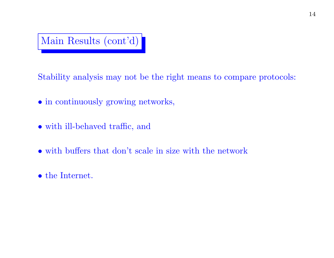

Stability analysis may not be the right means to compare protocols:

- in continuously growing networks,
- with ill-behaved traffic, and
- with buffers that don't scale in size with the network
- the Internet.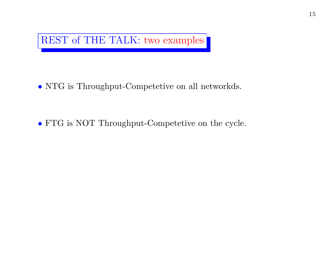

• NTG is Throughput-Competetive on all networkds.

• FTG is NOT Throughput-Competetive on the cycle.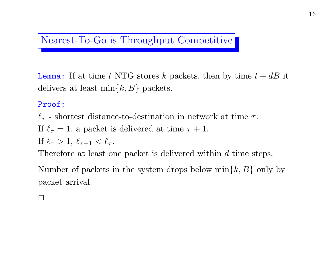## Nearest-To-Go is Throughput Competitive

**Lemma:** If at time t NTG stores k packets, then by time  $t + dB$  it delivers at least  $\min\{k, B\}$  packets.

#### Proof:

 $\ell_{\tau}$  - shortest distance-to-destination in network at time  $\tau$ .

If  $\ell_{\tau} = 1$ , a packet is delivered at time  $\tau + 1$ .

If  $\ell_{\tau} > 1, \ell_{\tau+1} < \ell_{\tau}$ .

Therefore at least one packet is delivered within d time steps.

Number of packets in the system drops below  $\min\{k, B\}$  only by packet arrival.

 $\Box$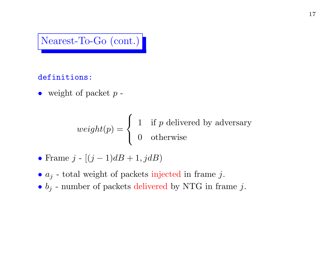## Nearest-To-Go (cont.)

#### definitions:

• weight of packet  $p$  -

$$
weight(p) = \begin{cases} 1 & \text{if } p \text{ delivered by adversary} \\ 0 & \text{otherwise} \end{cases}
$$

- Frame  $j [(j-1)dB + 1, jdB)$
- $a_j$  total weight of packets injected in frame j.
- $b_j$  number of packets delivered by NTG in frame j.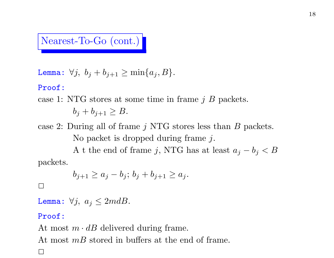## Nearest-To-Go (cont.)

$$
\text{Lemma: } \forall j, \ b_j + b_{j+1} \ge \min\{a_j, B\}.
$$

#### Proof:

### case 1: NTG stores at some time in frame  $j \, B$  packets.  $b_j + b_{j+1} \geq B$ .

case 2: During all of frame  $j$  NTG stores less than  $B$  packets. No packet is dropped during frame j. A t the end of frame j, NTG has at least  $a_j - b_j < B$ packets.

$$
b_{j+1} \ge a_j - b_j; \, b_j + b_{j+1} \ge a_j.
$$

#### $\Box$

Lemma:  $\forall j, a_j \leq 2mdB.$ 

#### Proof:

At most  $m \cdot dB$  delivered during frame. At most  $mB$  stored in buffers at the end of frame.

 $\Box$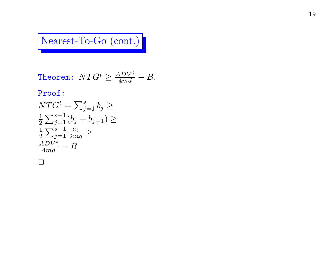# Nearest-To-Go (cont.)

**Theorem:** 
$$
NTG^t \ge \frac{ADV^t}{4md} - B
$$
.

#### Proof:

$$
NTG^{t} = \sum_{j=1}^{s} b_{j} \ge
$$
  
\n
$$
\frac{1}{2} \sum_{j=1}^{s-1} (b_{j} + b_{j+1}) \ge
$$
  
\n
$$
\frac{1}{2} \sum_{j=1}^{s-1} \frac{a_{j}}{2md} \ge
$$
  
\n
$$
\frac{ADV^{t}}{4md} - B
$$

 $\Box$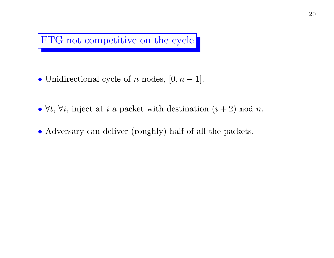# FTG not competitive on the cycle

- Unidirectional cycle of  $n$  nodes,  $[0, n-1]$ .
- $\forall t, \forall i$ , inject at i a packet with destination  $(i + 2)$  mod n.
- Adversary can deliver (roughly) half of all the packets.